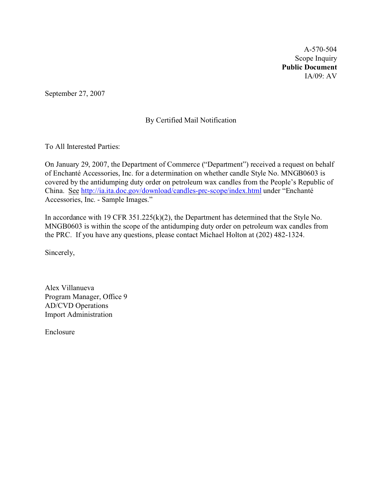A-570-504 Scope Inquiry **Public Document** IA/09: AV

September 27, 2007

# By Certified Mail Notification

To All Interested Parties:

On January 29, 2007, the Department of Commerce ("Department") received a request on behalf of Enchanté Accessories, Inc. for a determination on whether candle Style No. MNGB0603 is covered by the antidumping duty order on petroleum wax candles from the People's Republic of China. See <http://ia.ita.doc.gov/download/candles-prc-scope/index.html> under "Enchanté Accessories, Inc. - Sample Images."

In accordance with 19 CFR 351.225(k)(2), the Department has determined that the Style No. MNGB0603 is within the scope of the antidumping duty order on petroleum wax candles from the PRC. If you have any questions, please contact Michael Holton at (202) 482-1324.

Sincerely,

Alex Villanueva Program Manager, Office 9 AD/CVD Operations Import Administration

Enclosure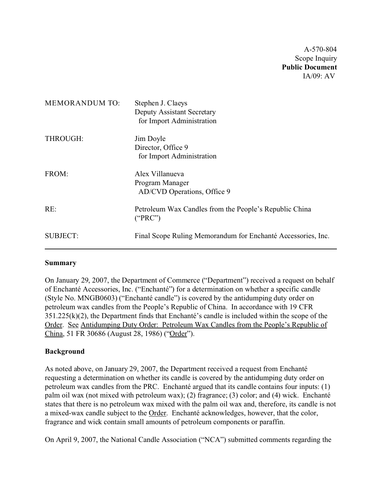A-570-804 Scope Inquiry **Public Document** IA/09: AV

| <b>MEMORANDUM TO:</b> | Stephen J. Claeys<br><b>Deputy Assistant Secretary</b><br>for Import Administration |
|-----------------------|-------------------------------------------------------------------------------------|
| THROUGH:              | Jim Doyle<br>Director, Office 9<br>for Import Administration                        |
| FROM:                 | Alex Villanueva<br>Program Manager<br>AD/CVD Operations, Office 9                   |
| RE:                   | Petroleum Wax Candles from the People's Republic China<br>("PRC")                   |
| <b>SUBJECT:</b>       | Final Scope Ruling Memorandum for Enchanté Accessories, Inc.                        |

## **Summary**

On January 29, 2007, the Department of Commerce ("Department") received a request on behalf of Enchanté Accessories, Inc. ("Enchanté") for a determination on whether a specific candle (Style No. MNGB0603) ("Enchanté candle") is covered by the antidumping duty order on petroleum wax candles from the People's Republic of China.In accordance with 19 CFR 351.225(k)(2), the Department finds that Enchanté's candle is included within the scope of the Order. See Antidumping Duty Order: Petroleum Wax Candles from the People's Republic of China, 51 FR 30686 (August 28, 1986) ("Order").

## **Background**

As noted above, on January 29, 2007, the Department received a request from Enchanté requesting a determination on whether its candle is covered by the antidumping duty order on petroleum wax candles from the PRC. Enchanté argued that its candle contains four inputs: (1) palm oil wax (not mixed with petroleum wax); (2) fragrance; (3) color; and (4) wick. Enchanté states that there is no petroleum wax mixed with the palm oil wax and, therefore, its candle is not a mixed-wax candle subject to the Order. Enchanté acknowledges, however, that the color, fragrance and wick contain small amounts of petroleum components or paraffin.

On April 9, 2007, the National Candle Association ("NCA") submitted comments regarding the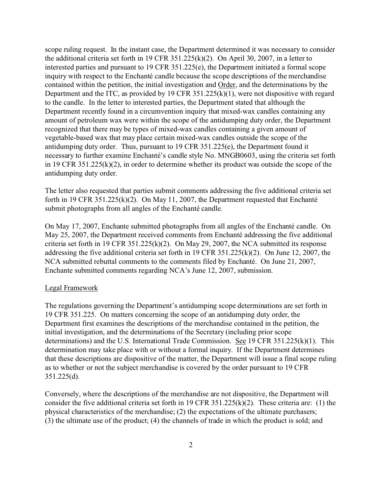scope ruling request. In the instant case, the Department determined it was necessary to consider the additional criteria set forth in 19 CFR 351.225(k)(2). On April 30, 2007, in a letter to interested parties and pursuant to 19 CFR 351.225(e), the Department initiated a formal scope inquiry with respect to the Enchanté candle because the scope descriptions of the merchandise contained within the petition, the initial investigation and Order, and the determinations by the Department and the ITC, as provided by 19 CFR 351.225(k)(1), were not dispositive with regard to the candle. In the letter to interested parties, the Department stated that although the Department recently found in a circumvention inquiry that mixed-wax candles containing any amount of petroleum wax were within the scope of the antidumping duty order, the Department recognized that there may be types of mixed-wax candles containing a given amount of vegetable-based wax that may place certain mixed-wax candles outside the scope of the antidumping duty order. Thus, pursuant to 19 CFR 351.225(e), the Department found it necessary to further examine Enchanté's candle style No. MNGB0603, using the criteria set forth in 19 CFR 351.225(k)(2), in order to determine whether its product was outside the scope of the antidumping duty order.

The letter also requested that parties submit comments addressing the five additional criteria set forth in 19 CFR 351.225(k)(2). On May 11, 2007, the Department requested that Enchanté submit photographs from all angles of the Enchanté candle.

On May 17, 2007, Enchante submitted photographs from all angles of the Enchanté candle. On May 25, 2007, the Department received comments from Enchanté addressing the five additional criteria set forth in 19 CFR 351.225(k)(2). On May 29, 2007, the NCA submitted its response addressing the five additional criteria set forth in 19 CFR 351.225(k)(2). On June 12, 2007, the NCA submitted rebuttal comments to the comments filed by Enchanté. On June 21, 2007, Enchante submitted comments regarding NCA's June 12, 2007, submission.

#### Legal Framework

The regulations governing the Department's antidumping scope determinations are set forth in 19 CFR 351.225. On matters concerning the scope of an antidumping duty order, the Department first examines the descriptions of the merchandise contained in the petition, the initial investigation, and the determinations of the Secretary (including prior scope determinations) and the U.S. International Trade Commission. See 19 CFR 351.225(k)(1). This determination may take place with or without a formal inquiry. If the Department determines that these descriptions are dispositive of the matter, the Department will issue a final scope ruling as to whether or not the subject merchandise is covered by the order pursuant to 19 CFR 351.225(d).

Conversely, where the descriptions of the merchandise are not dispositive, the Department will consider the five additional criteria set forth in 19 CFR 351.225(k)(2). These criteria are: (1) the physical characteristics of the merchandise; (2) the expectations of the ultimate purchasers; (3) the ultimate use of the product; (4) the channels of trade in which the product is sold; and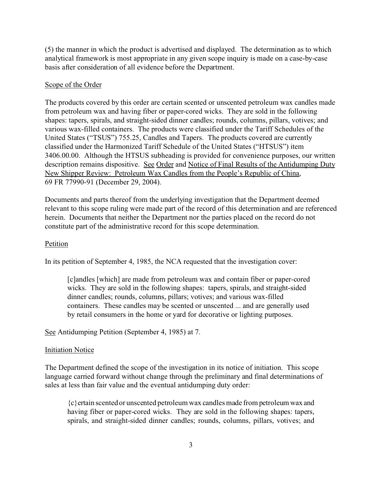(5) the manner in which the product is advertised and displayed. The determination as to which analytical framework is most appropriate in any given scope inquiry is made on a case-by-case basis after consideration of all evidence before the Department.

### Scope of the Order

The products covered by this order are certain scented or unscented petroleum wax candles made from petroleum wax and having fiber or paper-cored wicks. They are sold in the following shapes: tapers, spirals, and straight-sided dinner candles; rounds, columns, pillars, votives; and various wax-filled containers. The products were classified under the Tariff Schedules of the United States ("TSUS") 755.25, Candles and Tapers. The products covered are currently classified under the Harmonized Tariff Schedule of the United States ("HTSUS") item 3406.00.00. Although the HTSUS subheading is provided for convenience purposes, our written description remains dispositive. See Order and Notice of Final Results of the Antidumping Duty New Shipper Review: Petroleum Wax Candles from the People's Republic of China, 69 FR 77990-91 (December 29, 2004).

Documents and parts thereof from the underlying investigation that the Department deemed relevant to this scope ruling were made part of the record of this determination and are referenced herein. Documents that neither the Department nor the parties placed on the record do not constitute part of the administrative record for this scope determination.

#### Petition

In its petition of September 4, 1985, the NCA requested that the investigation cover:

[c]andles [which] are made from petroleum wax and contain fiber or paper-cored wicks. They are sold in the following shapes: tapers, spirals, and straight-sided dinner candles; rounds, columns, pillars; votives; and various wax-filled containers. These candles may be scented or unscented ... and are generally used by retail consumers in the home or yard for decorative or lighting purposes.

See Antidumping Petition (September 4, 1985) at 7.

#### **Initiation Notice**

The Department defined the scope of the investigation in its notice of initiation. This scope language carried forward without change through the preliminary and final determinations of sales at less than fair value and the eventual antidumping duty order:

{c}ertain scented or unscented petroleum wax candles made from petroleum wax and having fiber or paper-cored wicks. They are sold in the following shapes: tapers, spirals, and straight-sided dinner candles; rounds, columns, pillars, votives; and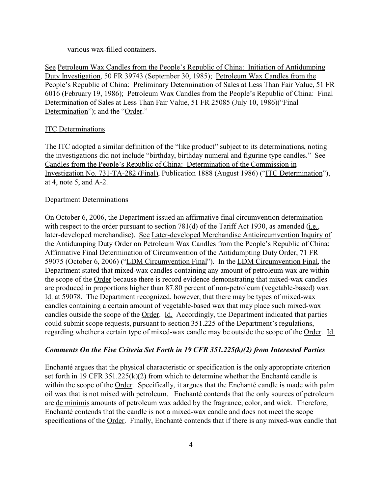various wax-filled containers.

See Petroleum Wax Candles from the People's Republic of China: Initiation of Antidumping Duty Investigation, 50 FR 39743 (September 30, 1985); Petroleum Wax Candles from the People's Republic of China: Preliminary Determination of Sales at Less Than Fair Value, 51 FR 6016 (February 19, 1986); Petroleum Wax Candles from the People's Republic of China: Final Determination of Sales at Less Than Fair Value, 51 FR 25085 (July 10, 1986)("Final Determination"); and the "Order."

#### ITC Determinations

The ITC adopted a similar definition of the "like product" subject to its determinations, noting the investigations did not include "birthday, birthday numeral and figurine type candles." See Candles from the People's Republic of China: Determination of the Commission in Investigation No. 731-TA-282 (Final), Publication 1888 (August 1986) ("ITC Determination"), at 4, note 5, and A-2.

#### Department Determinations

On October 6, 2006, the Department issued an affirmative final circumvention determination with respect to the order pursuant to section  $781(d)$  of the Tariff Act 1930, as amended (i.e., later-developed merchandise). See Later-developed Merchandise Anticircumvention Inquiry of the Antidumping Duty Order on Petroleum Wax Candles from the People's Republic of China: Affirmative Final Determination of Circumvention of the Antidumpting Duty Order, 71 FR 59075 (October 6, 2006) ("LDM Circumvention Final"). In the LDM Circumvention Final, the Department stated that mixed-wax candles containing any amount of petroleum wax are within the scope of the Order because there is record evidence demonstrating that mixed-wax candles are produced in proportions higher than 87.80 percent of non-petroleum (vegetable-based) wax. Id. at 59078. The Department recognized, however, that there may be types of mixed-wax candles containing a certain amount of vegetable-based wax that may place such mixed-wax candles outside the scope of the Order. Id. Accordingly, the Department indicated that parties could submit scope requests, pursuant to section 351.225 of the Department's regulations, regarding whether a certain type of mixed-wax candle may be outside the scope of the Order. Id.

## *Comments On the Five Criteria Set Forth in 19 CFR 351.225(k)(2) from Interested Parties*

Enchanté argues that the physical characteristic or specification is the only appropriate criterion set forth in 19 CFR 351.225(k)(2) from which to determine whether the Enchanté candle is within the scope of the Order. Specifically, it argues that the Enchanté candle is made with palm oil wax that is not mixed with petroleum. Enchanté contends that the only sources of petroleum are de minimis amounts of petroleum wax added by the fragrance, color, and wick. Therefore, Enchanté contends that the candle is not a mixed-wax candle and does not meet the scope specifications of the Order. Finally, Enchanté contends that if there is any mixed-wax candle that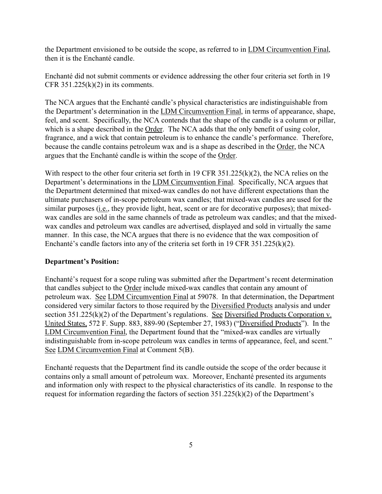the Department envisioned to be outside the scope, as referred to in LDM Circumvention Final, then it is the Enchanté candle.

Enchanté did not submit comments or evidence addressing the other four criteria set forth in 19 CFR  $351.225(k)(2)$  in its comments.

The NCA argues that the Enchanté candle's physical characteristics are indistinguishable from the Department's determination in the LDM Circumvention Final, in terms of appearance, shape, feel, and scent. Specifically, the NCA contends that the shape of the candle is a column or pillar, which is a shape described in the Order. The NCA adds that the only benefit of using color, fragrance, and a wick that contain petroleum is to enhance the candle's performance. Therefore, because the candle contains petroleum wax and is a shape as described in the Order, the NCA argues that the Enchanté candle is within the scope of the Order.

With respect to the other four criteria set forth in 19 CFR 351.225(k)(2), the NCA relies on the Department's determinations in the LDM Circumvention Final. Specifically, NCA argues that the Department determined that mixed-wax candles do not have different expectations than the ultimate purchasers of in-scope petroleum wax candles; that mixed-wax candles are used for the similar purposes (i.e., they provide light, heat, scent or are for decorative purposes); that mixedwax candles are sold in the same channels of trade as petroleum wax candles; and that the mixedwax candles and petroleum wax candles are advertised, displayed and sold in virtually the same manner. In this case, the NCA argues that there is no evidence that the wax composition of Enchanté's candle factors into any of the criteria set forth in 19 CFR 351.225(k)(2).

## **Department's Position:**

Enchanté's request for a scope ruling was submitted after the Department's recent determination that candles subject to the Order include mixed-wax candles that contain any amount of petroleum wax. See LDM Circumvention Final at 59078. In that determination, the Department considered very similar factors to those required by the Diversified Products analysis and under section 351.225(k)(2) of the Department's regulations. See Diversified Products Corporation v. United States, 572 F. Supp. 883, 889-90 (September 27, 1983) ("Diversified Products"). In the LDM Circumvention Final, the Department found that the "mixed-wax candles are virtually indistinguishable from in-scope petroleum wax candles in terms of appearance, feel, and scent." See LDM Circumvention Final at Comment 5(B).

Enchanté requests that the Department find its candle outside the scope of the order because it contains only a small amount of petroleum wax. Moreover, Enchanté presented its arguments and information only with respect to the physical characteristics of its candle. In response to the request for information regarding the factors of section 351.225(k)(2) of the Department's